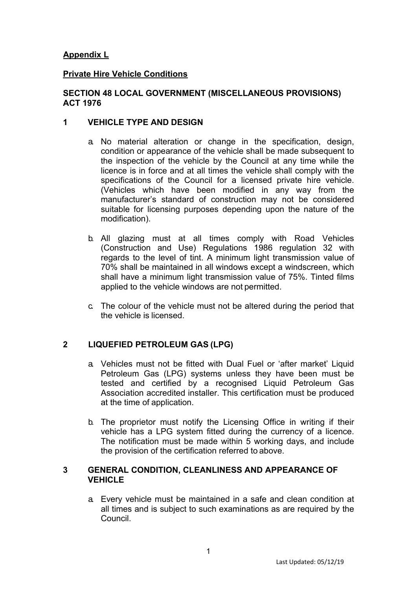# **Appendix L**

### **Private Hire Vehicle Conditions**

### **SECTION 48 LOCAL GOVERNMENT (MISCELLANEOUS PROVISIONS) ACT 1976**

### **1 VEHICLE TYPE AND DESIGN**

- a. No material alteration or change in the specification, design, condition or appearance of the vehicle shall be made subsequent to the inspection of the vehicle by the Council at any time while the licence is in force and at all times the vehicle shall comply with the specifications of the Council for a licensed private hire vehicle. (Vehicles which have been modified in any way from the manufacturer's standard of construction may not be considered suitable for licensing purposes depending upon the nature of the modification).
- b. All glazing must at all times comply with Road Vehicles (Construction and Use) Regulations 1986 regulation 32 with regards to the level of tint. A minimum light transmission value of 70% shall be maintained in all windows except a windscreen, which shall have a minimum light transmission value of 75%. Tinted films applied to the vehicle windows are not permitted.
- c. The colour of the vehicle must not be altered during the period that the vehicle is licensed.

## **2 LIQUEFIED PETROLEUM GAS (LPG)**

- a. Vehicles must not be fitted with Dual Fuel or 'after market' Liquid Petroleum Gas (LPG) systems unless they have been must be tested and certified by a recognised Liquid Petroleum Gas Association accredited installer. This certification must be produced at the time of application.
- b. The proprietor must notify the Licensing Office in writing if their vehicle has a LPG system fitted during the currency of a licence. The notification must be made within 5 working days, and include the provision of the certification referred to above.

#### **3 GENERAL CONDITION, CLEANLINESS AND APPEARANCE OF VEHICLE**

a. Every vehicle must be maintained in a safe and clean condition at all times and is subject to such examinations as are required by the Council.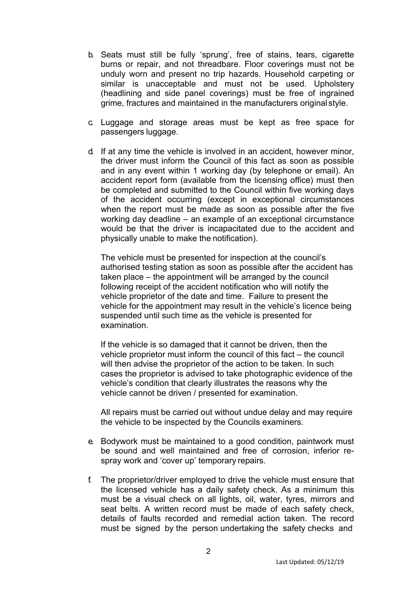- b. Seats must still be fully 'sprung', free of stains, tears, cigarette burns or repair, and not threadbare. Floor coverings must not be unduly worn and present no trip hazards. Household carpeting or similar is unacceptable and must not be used. Upholstery (headlining and side panel coverings) must be free of ingrained grime, fractures and maintained in the manufacturers original style.
- c. Luggage and storage areas must be kept as free space for passengers luggage.
- d. If at any time the vehicle is involved in an accident, however minor, the driver must inform the Council of this fact as soon as possible and in any event within 1 working day (by telephone or email). An accident report form (available from the licensing office) must then be completed and submitted to the Council within five working days of the accident occurring (except in exceptional circumstances when the report must be made as soon as possible after the five working day deadline – an example of an exceptional circumstance would be that the driver is incapacitated due to the accident and physically unable to make the notification).

The vehicle must be presented for inspection at the council's authorised testing station as soon as possible after the accident has taken place – the appointment will be arranged by the council following receipt of the accident notification who will notify the vehicle proprietor of the date and time. Failure to present the vehicle for the appointment may result in the vehicle's licence being suspended until such time as the vehicle is presented for examination.

If the vehicle is so damaged that it cannot be driven, then the vehicle proprietor must inform the council of this fact – the council will then advise the proprietor of the action to be taken. In such cases the proprietor is advised to take photographic evidence of the vehicle's condition that clearly illustrates the reasons why the vehicle cannot be driven / presented for examination.

All repairs must be carried out without undue delay and may require the vehicle to be inspected by the Councils examiners.

- e. Bodywork must be maintained to a good condition, paintwork must be sound and well maintained and free of corrosion, inferior respray work and 'cover up' temporary repairs.
- f. The proprietor/driver employed to drive the vehicle must ensure that the licensed vehicle has a daily safety check. As a minimum this must be a visual check on all lights, oil, water, tyres, mirrors and seat belts. A written record must be made of each safety check, details of faults recorded and remedial action taken. The record must be signed by the person undertaking the safety checks and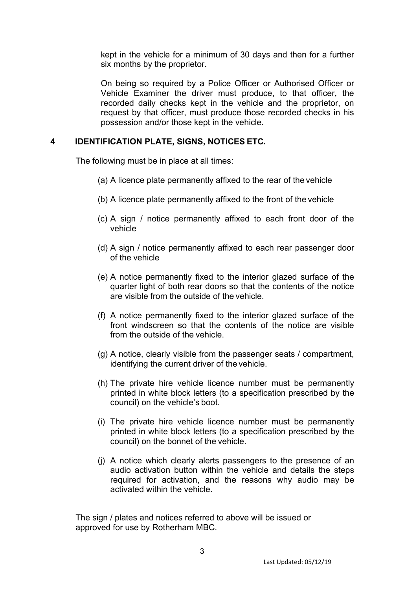kept in the vehicle for a minimum of 30 days and then for a further six months by the proprietor.

On being so required by a Police Officer or Authorised Officer or Vehicle Examiner the driver must produce, to that officer, the recorded daily checks kept in the vehicle and the proprietor, on request by that officer, must produce those recorded checks in his possession and/or those kept in the vehicle.

### **4 IDENTIFICATION PLATE, SIGNS, NOTICES ETC.**

The following must be in place at all times:

- (a) A licence plate permanently affixed to the rear of the vehicle
- (b) A licence plate permanently affixed to the front of the vehicle
- (c) A sign / notice permanently affixed to each front door of the vehicle
- (d) A sign / notice permanently affixed to each rear passenger door of the vehicle
- (e) A notice permanently fixed to the interior glazed surface of the quarter light of both rear doors so that the contents of the notice are visible from the outside of the vehicle.
- (f) A notice permanently fixed to the interior glazed surface of the front windscreen so that the contents of the notice are visible from the outside of the vehicle.
- (g) A notice, clearly visible from the passenger seats / compartment, identifying the current driver of the vehicle.
- (h) The private hire vehicle licence number must be permanently printed in white block letters (to a specification prescribed by the council) on the vehicle's boot.
- (i) The private hire vehicle licence number must be permanently printed in white block letters (to a specification prescribed by the council) on the bonnet of the vehicle.
- (j) A notice which clearly alerts passengers to the presence of an audio activation button within the vehicle and details the steps required for activation, and the reasons why audio may be activated within the vehicle.

The sign / plates and notices referred to above will be issued or approved for use by Rotherham MBC.

3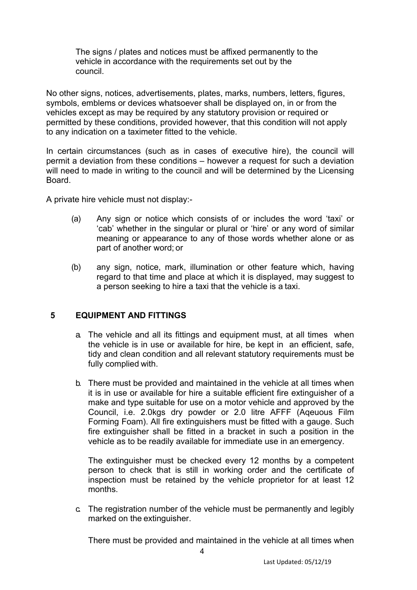The signs / plates and notices must be affixed permanently to the vehicle in accordance with the requirements set out by the council.

No other signs, notices, advertisements, plates, marks, numbers, letters, figures, symbols, emblems or devices whatsoever shall be displayed on, in or from the vehicles except as may be required by any statutory provision or required or permitted by these conditions, provided however, that this condition will not apply to any indication on a taximeter fitted to the vehicle.

In certain circumstances (such as in cases of executive hire), the council will permit a deviation from these conditions – however a request for such a deviation will need to made in writing to the council and will be determined by the Licensing Board.

A private hire vehicle must not display:-

- (a) Any sign or notice which consists of or includes the word 'taxi' or 'cab' whether in the singular or plural or 'hire' or any word of similar meaning or appearance to any of those words whether alone or as part of another word; or
- (b) any sign, notice, mark, illumination or other feature which, having regard to that time and place at which it is displayed, may suggest to a person seeking to hire a taxi that the vehicle is a taxi.

### **5 EQUIPMENT AND FITTINGS**

- a. The vehicle and all its fittings and equipment must, at all times when the vehicle is in use or available for hire, be kept in an efficient, safe, tidy and clean condition and all relevant statutory requirements must be fully complied with.
- b. There must be provided and maintained in the vehicle at all times when it is in use or available for hire a suitable efficient fire extinguisher of a make and type suitable for use on a motor vehicle and approved by the Council, i.e. 2.0kgs dry powder or 2.0 litre AFFF (Aqeuous Film Forming Foam). All fire extinguishers must be fitted with a gauge. Such fire extinguisher shall be fitted in a bracket in such a position in the vehicle as to be readily available for immediate use in an emergency.

The extinguisher must be checked every 12 months by a competent person to check that is still in working order and the certificate of inspection must be retained by the vehicle proprietor for at least 12 months.

c. The registration number of the vehicle must be permanently and legibly marked on the extinguisher.

There must be provided and maintained in the vehicle at all times when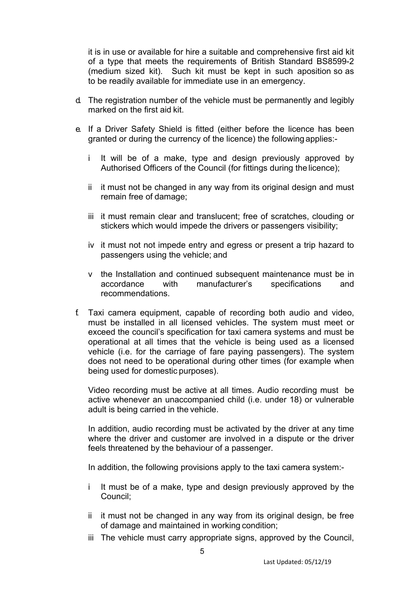it is in use or available for hire a suitable and comprehensive first aid kit of a type that meets the requirements of British Standard BS8599-2 (medium sized kit). Such kit must be kept in such aposition so as to be readily available for immediate use in an emergency.

- d. The registration number of the vehicle must be permanently and legibly marked on the first aid kit.
- e. If a Driver Safety Shield is fitted (either before the licence has been granted or during the currency of the licence) the following applies:
	- i It will be of a make, type and design previously approved by Authorised Officers of the Council (for fittings during the licence);
	- ii it must not be changed in any way from its original design and must remain free of damage;
	- iii it must remain clear and translucent; free of scratches, clouding or stickers which would impede the drivers or passengers visibility;
	- iv it must not not impede entry and egress or present a trip hazard to passengers using the vehicle; and
	- v the Installation and continued subsequent maintenance must be in accordance with manufacturer's specifications and recommendations.
- f. Taxi camera equipment, capable of recording both audio and video, must be installed in all licensed vehicles. The system must meet or exceed the council's specification for taxi camera systems and must be operational at all times that the vehicle is being used as a licensed vehicle (i.e. for the carriage of fare paying passengers). The system does not need to be operational during other times (for example when being used for domestic purposes).

Video recording must be active at all times. Audio recording must be active whenever an unaccompanied child (i.e. under 18) or vulnerable adult is being carried in the vehicle.

In addition, audio recording must be activated by the driver at any time where the driver and customer are involved in a dispute or the driver feels threatened by the behaviour of a passenger.

In addition, the following provisions apply to the taxi camera system:-

- i It must be of a make, type and design previously approved by the Council;
- ii it must not be changed in any way from its original design, be free of damage and maintained in working condition;
- iii The vehicle must carry appropriate signs, approved by the Council,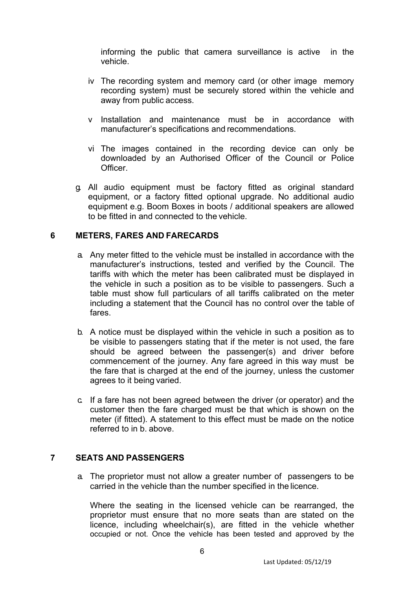informing the public that camera surveillance is active in the vehicle.

- iv The recording system and memory card (or other image memory recording system) must be securely stored within the vehicle and away from public access.
- v Installation and maintenance must be in accordance with manufacturer's specifications and recommendations.
- vi The images contained in the recording device can only be downloaded by an Authorised Officer of the Council or Police **Officer**
- g. All audio equipment must be factory fitted as original standard equipment, or a factory fitted optional upgrade. No additional audio equipment e.g. Boom Boxes in boots / additional speakers are allowed to be fitted in and connected to the vehicle.

### **6 METERS, FARES AND FARECARDS**

- a. Any meter fitted to the vehicle must be installed in accordance with the manufacturer's instructions, tested and verified by the Council. The tariffs with which the meter has been calibrated must be displayed in the vehicle in such a position as to be visible to passengers. Such a table must show full particulars of all tariffs calibrated on the meter including a statement that the Council has no control over the table of fares.
- b. A notice must be displayed within the vehicle in such a position as to be visible to passengers stating that if the meter is not used, the fare should be agreed between the passenger(s) and driver before commencement of the journey. Any fare agreed in this way must be the fare that is charged at the end of the journey, unless the customer agrees to it being varied.
- c. If a fare has not been agreed between the driver (or operator) and the customer then the fare charged must be that which is shown on the meter (if fitted). A statement to this effect must be made on the notice referred to in b. above.

### **7 SEATS AND PASSENGERS**

a. The proprietor must not allow a greater number of passengers to be carried in the vehicle than the number specified in the licence.

Where the seating in the licensed vehicle can be rearranged, the proprietor must ensure that no more seats than are stated on the licence, including wheelchair(s), are fitted in the vehicle whether occupied or not. Once the vehicle has been tested and approved by the

6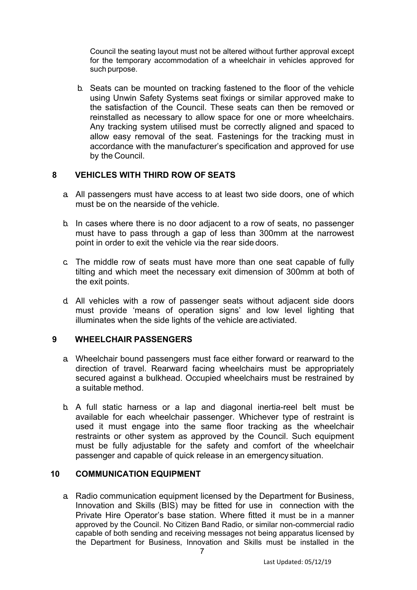Council the seating layout must not be altered without further approval except for the temporary accommodation of a wheelchair in vehicles approved for such purpose.

b. Seats can be mounted on tracking fastened to the floor of the vehicle using Unwin Safety Systems seat fixings or similar approved make to the satisfaction of the Council. These seats can then be removed or reinstalled as necessary to allow space for one or more wheelchairs. Any tracking system utilised must be correctly aligned and spaced to allow easy removal of the seat. Fastenings for the tracking must in accordance with the manufacturer's specification and approved for use by the Council.

### **8 VEHICLES WITH THIRD ROW OF SEATS**

- a. All passengers must have access to at least two side doors, one of which must be on the nearside of the vehicle.
- b. In cases where there is no door adjacent to a row of seats, no passenger must have to pass through a gap of less than 300mm at the narrowest point in order to exit the vehicle via the rear side doors.
- c. The middle row of seats must have more than one seat capable of fully tilting and which meet the necessary exit dimension of 300mm at both of the exit points.
- d. All vehicles with a row of passenger seats without adjacent side doors must provide 'means of operation signs' and low level lighting that illuminates when the side lights of the vehicle are activiated.

## **9 WHEELCHAIR PASSENGERS**

- a. Wheelchair bound passengers must face either forward or rearward to the direction of travel. Rearward facing wheelchairs must be appropriately secured against a bulkhead. Occupied wheelchairs must be restrained by a suitable method.
- b. A full static harness or a lap and diagonal inertia-reel belt must be available for each wheelchair passenger. Whichever type of restraint is used it must engage into the same floor tracking as the wheelchair restraints or other system as approved by the Council. Such equipment must be fully adjustable for the safety and comfort of the wheelchair passenger and capable of quick release in an emergency situation.

### **10 COMMUNICATION EQUIPMENT**

a. Radio communication equipment licensed by the Department for Business, Innovation and Skills (BIS) may be fitted for use in connection with the Private Hire Operator's base station. Where fitted it must be in a manner approved by the Council. No Citizen Band Radio, or similar non-commercial radio capable of both sending and receiving messages not being apparatus licensed by the Department for Business, Innovation and Skills must be installed in the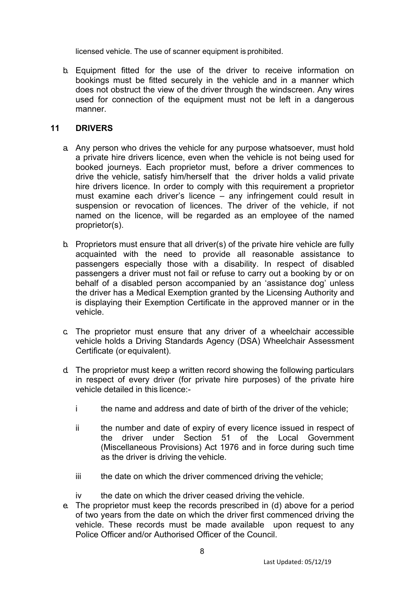licensed vehicle. The use of scanner equipment is prohibited.

b. Equipment fitted for the use of the driver to receive information on bookings must be fitted securely in the vehicle and in a manner which does not obstruct the view of the driver through the windscreen. Any wires used for connection of the equipment must not be left in a dangerous manner.

### **11 DRIVERS**

- a. Any person who drives the vehicle for any purpose whatsoever, must hold a private hire drivers licence, even when the vehicle is not being used for booked journeys. Each proprietor must, before a driver commences to drive the vehicle, satisfy him/herself that the driver holds a valid private hire drivers licence. In order to comply with this requirement a proprietor must examine each driver's licence – any infringement could result in suspension or revocation of licences. The driver of the vehicle, if not named on the licence, will be regarded as an employee of the named proprietor(s).
- b. Proprietors must ensure that all driver(s) of the private hire vehicle are fully acquainted with the need to provide all reasonable assistance to passengers especially those with a disability. In respect of disabled passengers a driver must not fail or refuse to carry out a booking by or on behalf of a disabled person accompanied by an 'assistance dog' unless the driver has a Medical Exemption granted by the Licensing Authority and is displaying their Exemption Certificate in the approved manner or in the vehicle.
- c. The proprietor must ensure that any driver of a wheelchair accessible vehicle holds a Driving Standards Agency (DSA) Wheelchair Assessment Certificate (or equivalent).
- d. The proprietor must keep a written record showing the following particulars in respect of every driver (for private hire purposes) of the private hire vehicle detailed in this licence:
	- i the name and address and date of birth of the driver of the vehicle;
	- ii the number and date of expiry of every licence issued in respect of the driver under Section 51 of the Local Government (Miscellaneous Provisions) Act 1976 and in force during such time as the driver is driving the vehicle.
	- iii the date on which the driver commenced driving the vehicle;
	- iv the date on which the driver ceased driving the vehicle.
- e. The proprietor must keep the records prescribed in (d) above for a period of two years from the date on which the driver first commenced driving the vehicle. These records must be made available upon request to any Police Officer and/or Authorised Officer of the Council.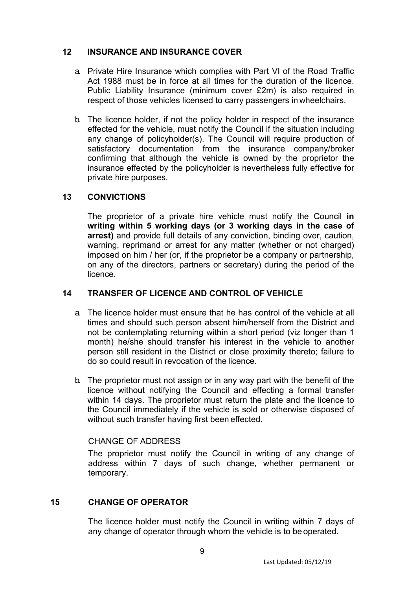### **12 INSURANCE AND INSURANCE COVER**

- a. Private Hire Insurance which complies with Part VI of the Road Traffic Act 1988 must be in force at all times for the duration of the licence. Public Liability Insurance (minimum cover £2m) is also required in respect of those vehicles licensed to carry passengers in wheelchairs.
- b. The licence holder, if not the policy holder in respect of the insurance effected for the vehicle, must notify the Council if the situation including any change of policyholder(s). The Council will require production of satisfactory documentation from the insurance company/broker confirming that although the vehicle is owned by the proprietor the insurance effected by the policyholder is nevertheless fully effective for private hire purposes.

## **13 CONVICTIONS**

The proprietor of a private hire vehicle must notify the Council **in writing within 5 working days (or 3 working days in the case of arrest)** and provide full details of any conviction, binding over, caution, warning, reprimand or arrest for any matter (whether or not charged) imposed on him / her (or, if the proprietor be a company or partnership, on any of the directors, partners or secretary) during the period of the licence.

## **14 TRANSFER OF LICENCE AND CONTROL OF VEHICLE**

- a. The licence holder must ensure that he has control of the vehicle at all times and should such person absent him/herself from the District and not be contemplating returning within a short period (viz longer than 1 month) he/she should transfer his interest in the vehicle to another person still resident in the District or close proximity thereto; failure to do so could result in revocation of the licence.
- b. The proprietor must not assign or in any way part with the benefit of the licence without notifying the Council and effecting a formal transfer within 14 days. The proprietor must return the plate and the licence to the Council immediately if the vehicle is sold or otherwise disposed of without such transfer having first been effected.

## CHANGE OF ADDRESS

The proprietor must notify the Council in writing of any change of address within 7 days of such change, whether permanent or temporary.

## **15 CHANGE OF OPERATOR**

The licence holder must notify the Council in writing within 7 days of any change of operator through whom the vehicle is to beoperated.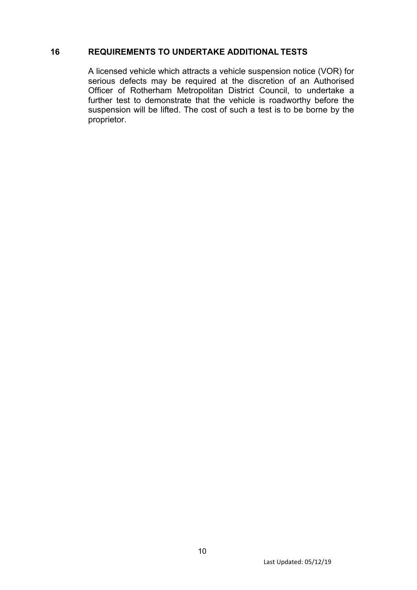# **16 REQUIREMENTS TO UNDERTAKE ADDITIONAL TESTS**

A licensed vehicle which attracts a vehicle suspension notice (VOR) for serious defects may be required at the discretion of an Authorised Officer of Rotherham Metropolitan District Council, to undertake a further test to demonstrate that the vehicle is roadworthy before the suspension will be lifted. The cost of such a test is to be borne by the proprietor.